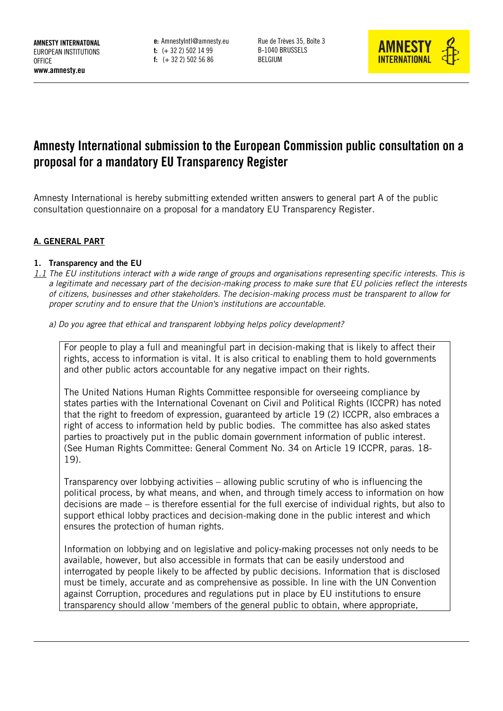**e:** AmnestyIntl@amnesty.eu **t:** (+ 32 2) 502 14 99 **f:** (+ 32 2) 502 56 86

Rue de Trèves 35, Boîte 3 B-1040 BRUSSELS BELGIUM



# **Amnesty International submission to the European Commission public consultation on a proposal for a mandatory EU Transparency Register**

Amnesty International is hereby submitting extended written answers to general part A of the public consultation questionnaire on a proposal for a mandatory EU Transparency Register.

#### **A. GENERAL PART**

#### **1. Transparency and the EU**

- *1.1 The EU institutions interact with a wide range of groups and organisations representing specific interests. This is a legitimate and necessary part of the decision-making process to make sure that EU policies reflect the interests of citizens, businesses and other stakeholders. The decision-making process must be transparent to allow for proper scrutiny and to ensure that the Union's institutions are accountable.*
	- *a) Do you agree that ethical and transparent lobbying helps policy development?*

For people to play a full and meaningful part in decision-making that is likely to affect their rights, access to information is vital. It is also critical to enabling them to hold governments and other public actors accountable for any negative impact on their rights.

The United Nations Human Rights Committee responsible for overseeing compliance by states parties with the International Covenant on Civil and Political Rights (ICCPR) has noted that the right to freedom of expression, guaranteed by article 19 (2) ICCPR, also embraces a right of access to information held by public bodies. The committee has also asked states parties to proactively put in the public domain government information of public interest. (See Human Rights Committee: General Comment No. 34 on Article 19 ICCPR, paras. 18- 19).

Transparency over lobbying activities – allowing public scrutiny of who is influencing the political process, by what means, and when, and through timely access to information on how decisions are made – is therefore essential for the full exercise of individual rights, but also to support ethical lobby practices and decision-making done in the public interest and which ensures the protection of human rights.

Information on lobbying and on legislative and policy-making processes not only needs to be available, however, but also accessible in formats that can be easily understood and interrogated by people likely to be affected by public decisions. Information that is disclosed must be timely, accurate and as comprehensive as possible. In line with the UN Convention against Corruption, procedures and regulations put in place by EU institutions to ensure transparency should allow 'members of the general public to obtain, where appropriate,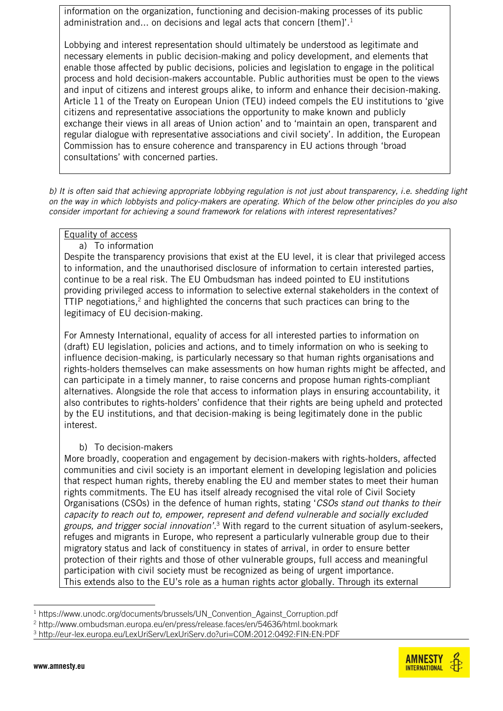information on the organization, functioning and decision-making processes of its public administration and... on decisions and legal acts that concern [them]'.<sup>1</sup>

Lobbying and interest representation should ultimately be understood as legitimate and necessary elements in public decision-making and policy development, and elements that enable those affected by public decisions, policies and legislation to engage in the political process and hold decision-makers accountable. Public authorities must be open to the views and input of citizens and interest groups alike, to inform and enhance their decision-making. Article 11 of the Treaty on European Union (TEU) indeed compels the EU institutions to 'give citizens and representative associations the opportunity to make known and publicly exchange their views in all areas of Union action' and to 'maintain an open, transparent and regular dialogue with representative associations and civil society'. In addition, the European Commission has to ensure coherence and transparency in EU actions through 'broad consultations' with concerned parties.

*b) It is often said that achieving appropriate lobbying regulation is not just about transparency, i.e. shedding light on the way in which lobbyists and policy-makers are operating. Which of the below other principles do you also consider important for achieving a sound framework for relations with interest representatives?*

#### Equality of access

a) To information

Despite the transparency provisions that exist at the EU level, it is clear that privileged access to information, and the unauthorised disclosure of information to certain interested parties, continue to be a real risk. The EU Ombudsman has indeed pointed to EU institutions providing privileged access to information to selective external stakeholders in the context of TTIP negotiations, <sup>2</sup> and highlighted the concerns that such practices can bring to the legitimacy of EU decision-making.

For Amnesty International, equality of access for all interested parties to information on (draft) EU legislation, policies and actions, and to timely information on who is seeking to influence decision-making, is particularly necessary so that human rights organisations and rights-holders themselves can make assessments on how human rights might be affected, and can participate in a timely manner, to raise concerns and propose human rights-compliant alternatives. Alongside the role that access to information plays in ensuring accountability, it also contributes to rights-holders' confidence that their rights are being upheld and protected by the EU institutions, and that decision-making is being legitimately done in the public interest.

#### b) To decision-makers

More broadly, cooperation and engagement by decision-makers with rights-holders, affected communities and civil society is an important element in developing legislation and policies that respect human rights, thereby enabling the EU and member states to meet their human rights commitments. The EU has itself already recognised the vital role of Civil Society Organisations (CSOs) in the defence of human rights, stating '*CSOs stand out thanks to their capacity to reach out to, empower, represent and defend vulnerable and socially excluded groups, and trigger social innovation'.*<sup>3</sup> With regard to the current situation of asylum-seekers, refuges and migrants in Europe, who represent a particularly vulnerable group due to their migratory status and lack of constituency in states of arrival, in order to ensure better protection of their rights and those of other vulnerable groups, full access and meaningful participation with civil society must be recognized as being of urgent importance. This extends also to the EU's role as a human rights actor globally. Through its external



<sup>-</sup><sup>1</sup> https://www.unodc.org/documents/brussels/UN\_Convention\_Against\_Corruption.pdf

<sup>2</sup> http://www.ombudsman.europa.eu/en/press/release.faces/en/54636/html.bookmark

<sup>3</sup> <http://eur-lex.europa.eu/LexUriServ/LexUriServ.do?uri=COM:2012:0492:FIN:EN:PDF>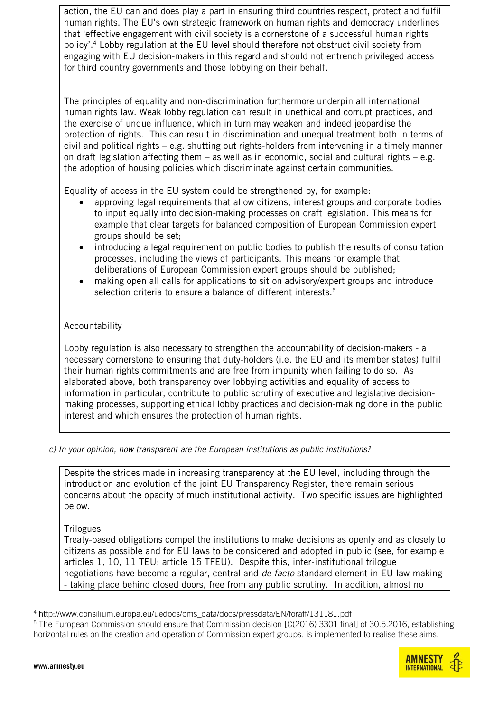action, the EU can and does play a part in ensuring third countries respect, protect and fulfil human rights. The EU's own strategic framework on human rights and democracy underlines that 'effective engagement with civil society is a cornerstone of a successful human rights policy'. <sup>4</sup> Lobby regulation at the EU level should therefore not obstruct civil society from engaging with EU decision-makers in this regard and should not entrench privileged access for third country governments and those lobbying on their behalf.

The principles of equality and non-discrimination furthermore underpin all international human rights law. Weak lobby regulation can result in unethical and corrupt practices, and the exercise of undue influence, which in turn may weaken and indeed jeopardise the protection of rights. This can result in discrimination and unequal treatment both in terms of civil and political rights – e.g. shutting out rights-holders from intervening in a timely manner on draft legislation affecting them  $-$  as well as in economic, social and cultural rights  $-$  e.g. the adoption of housing policies which discriminate against certain communities.

Equality of access in the EU system could be strengthened by, for example:

- approving legal requirements that allow citizens, interest groups and corporate bodies to input equally into decision-making processes on draft legislation. This means for example that clear targets for balanced composition of European Commission expert groups should be set;
- introducing a legal requirement on public bodies to publish the results of consultation processes, including the views of participants. This means for example that deliberations of European Commission expert groups should be published;
- making open all calls for applications to sit on advisory/expert groups and introduce selection criteria to ensure a balance of different interests.<sup>5</sup>

## **Accountability**

Lobby regulation is also necessary to strengthen the accountability of decision-makers - a necessary cornerstone to ensuring that duty-holders (i.e. the EU and its member states) fulfil their human rights commitments and are free from impunity when failing to do so. As elaborated above, both transparency over lobbying activities and equality of access to information in particular, contribute to public scrutiny of executive and legislative decisionmaking processes, supporting ethical lobby practices and decision-making done in the public interest and which ensures the protection of human rights.

*c) In your opinion, how transparent are the European institutions as public institutions?*

Despite the strides made in increasing transparency at the EU level, including through the introduction and evolution of the joint EU Transparency Register, there remain serious concerns about the opacity of much institutional activity. Two specific issues are highlighted below.

**Trilogues** 

Treaty-based obligations compel the institutions to make decisions as openly and as closely to citizens as possible and for EU laws to be considered and adopted in public (see, for example articles 1, 10, 11 TEU; article 15 TFEU). Despite this, inter-institutional trilogue negotiations have become a regular, central and *de facto* standard element in EU law-making - taking place behind closed doors, free from any public scrutiny. In addition, almost no

<sup>&</sup>lt;sup>5</sup> The European Commission should ensure that Commission decision [C(2016) 3301 final] of 30.5.2016, establishing horizontal rules on the creation and operation of Commission expert groups, is implemented to realise these aims.



<sup>-</sup><sup>4</sup> http://www.consilium.europa.eu/uedocs/cms\_data/docs/pressdata/EN/foraff/131181.pdf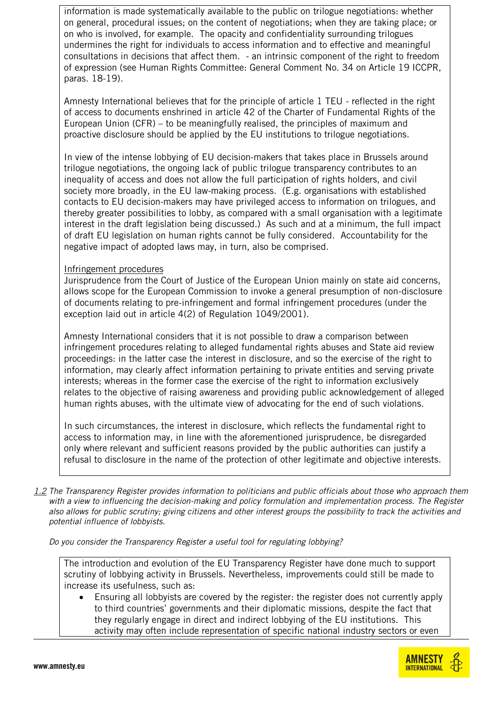information is made systematically available to the public on trilogue negotiations: whether on general, procedural issues; on the content of negotiations; when they are taking place; or on who is involved, for example. The opacity and confidentiality surrounding trilogues undermines the right for individuals to access information and to effective and meaningful consultations in decisions that affect them. - an intrinsic component of the right to freedom of expression (see Human Rights Committee: General Comment No. 34 on Article 19 ICCPR, paras. 18-19).

Amnesty International believes that for the principle of article 1 TEU - reflected in the right of access to documents enshrined in article 42 of the Charter of Fundamental Rights of the European Union (CFR) – to be meaningfully realised, the principles of maximum and proactive disclosure should be applied by the EU institutions to trilogue negotiations.

In view of the intense lobbying of EU decision-makers that takes place in Brussels around trilogue negotiations, the ongoing lack of public trilogue transparency contributes to an inequality of access and does not allow the full participation of rights holders, and civil society more broadly, in the EU law-making process. (E.g. organisations with established contacts to EU decision-makers may have privileged access to information on trilogues, and thereby greater possibilities to lobby, as compared with a small organisation with a legitimate interest in the draft legislation being discussed.) As such and at a minimum, the full impact of draft EU legislation on human rights cannot be fully considered. Accountability for the negative impact of adopted laws may, in turn, also be comprised.

#### Infringement procedures

Jurisprudence from the Court of Justice of the European Union mainly on state aid concerns, allows scope for the European Commission to invoke a general presumption of non-disclosure of documents relating to pre-infringement and formal infringement procedures (under the exception laid out in article 4(2) of Regulation 1049/2001).

Amnesty International considers that it is not possible to draw a comparison between infringement procedures relating to alleged fundamental rights abuses and State aid review proceedings: in the latter case the interest in disclosure, and so the exercise of the right to information, may clearly affect information pertaining to private entities and serving private interests; whereas in the former case the exercise of the right to information exclusively relates to the objective of raising awareness and providing public acknowledgement of alleged human rights abuses, with the ultimate view of advocating for the end of such violations.

In such circumstances, the interest in disclosure, which reflects the fundamental right to access to information may, in line with the aforementioned jurisprudence, be disregarded only where relevant and sufficient reasons provided by the public authorities can justify a refusal to disclosure in the name of the protection of other legitimate and objective interests.

*1.2 The Transparency Register provides information to politicians and public officials about those who approach them with a view to influencing the decision-making and policy formulation and implementation process. The Register also allows for public scrutiny; giving citizens and other interest groups the possibility to track the activities and potential influence of lobbyists.*

*Do you consider the Transparency Register a useful tool for regulating lobbying?*

The introduction and evolution of the EU Transparency Register have done much to support scrutiny of lobbying activity in Brussels. Nevertheless, improvements could still be made to increase its usefulness, such as:

 Ensuring all lobbyists are covered by the register: the register does not currently apply to third countries' governments and their diplomatic missions, despite the fact that they regularly engage in direct and indirect lobbying of the EU institutions. This activity may often include representation of specific national industry sectors or even

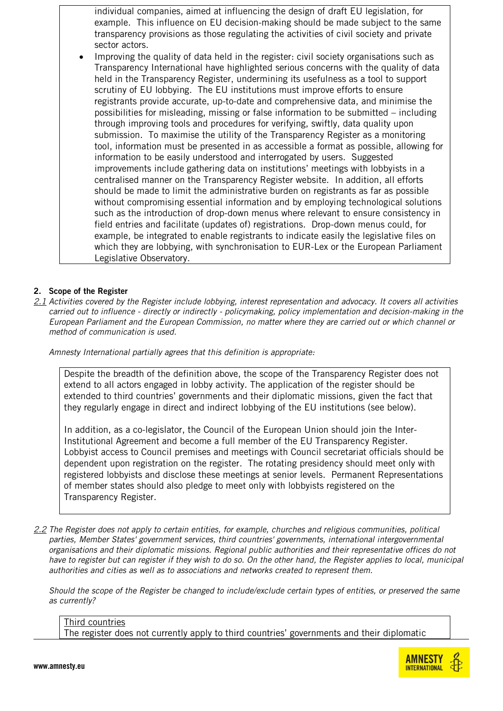individual companies, aimed at influencing the design of draft EU legislation, for example. This influence on EU decision-making should be made subject to the same transparency provisions as those regulating the activities of civil society and private sector actors.

 Improving the quality of data held in the register: civil society organisations such as Transparency International have highlighted serious concerns with the quality of data held in the Transparency Register, undermining its usefulness as a tool to support scrutiny of EU lobbying. The EU institutions must improve efforts to ensure registrants provide accurate, up-to-date and comprehensive data, and minimise the possibilities for misleading, missing or false information to be submitted – including through improving tools and procedures for verifying, swiftly, data quality upon submission. To maximise the utility of the Transparency Register as a monitoring tool, information must be presented in as accessible a format as possible, allowing for information to be easily understood and interrogated by users. Suggested improvements include gathering data on institutions' meetings with lobbyists in a centralised manner on the Transparency Register website. In addition, all efforts should be made to limit the administrative burden on registrants as far as possible without compromising essential information and by employing technological solutions such as the introduction of drop-down menus where relevant to ensure consistency in field entries and facilitate (updates of) registrations. Drop-down menus could, for example, be integrated to enable registrants to indicate easily the legislative files on which they are lobbying, with synchronisation to EUR-Lex or the European Parliament Legislative Observatory.

#### **2. Scope of the Register**

*2.1 Activities covered by the Register include lobbying, interest representation and advocacy. It covers all activities carried out to influence - directly or indirectly - policymaking, policy implementation and decision-making in the European Parliament and the European Commission, no matter where they are carried out or which channel or method of communication is used.*

*Amnesty International partially agrees that this definition is appropriate:*

Despite the breadth of the definition above, the scope of the Transparency Register does not extend to all actors engaged in lobby activity. The application of the register should be extended to third countries' governments and their diplomatic missions, given the fact that they regularly engage in direct and indirect lobbying of the EU institutions (see below).

In addition, as a co-legislator, the Council of the European Union should join the Inter-Institutional Agreement and become a full member of the EU Transparency Register. Lobbyist access to Council premises and meetings with Council secretariat officials should be dependent upon registration on the register. The rotating presidency should meet only with registered lobbyists and disclose these meetings at senior levels. Permanent Representations of member states should also pledge to meet only with lobbyists registered on the Transparency Register.

*2.2 The Register does not apply to certain entities, for example, churches and religious communities, political parties, Member States' government services, third countries' governments, international intergovernmental organisations and their diplomatic missions. Regional public authorities and their representative offices do not have to register but can register if they wish to do so. On the other hand, the Register applies to local, municipal authorities and cities as well as to associations and networks created to represent them.*

*Should the scope of the Register be changed to include/exclude certain types of entities, or preserved the same as currently?*

Third countries The register does not currently apply to third countries' governments and their diplomatic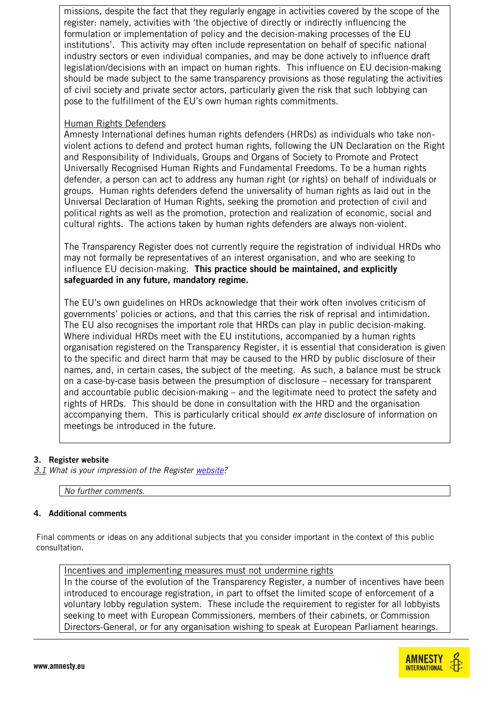missions, despite the fact that they regularly engage in activities covered by the scope of the register: namely, activities with 'the objective of directly or indirectly influencing the formulation or implementation of policy and the decision-making processes of the EU institutions'. This activity may often include representation on behalf of specific national industry sectors or even individual companies, and may be done actively to influence draft legislation/decisions with an impact on human rights. This influence on EU decision-making should be made subject to the same transparency provisions as those regulating the activities of civil society and private sector actors, particularly given the risk that such lobbying can pose to the fulfillment of the EU's own human rights commitments.

### Human Rights Defenders

Amnesty International defines human rights defenders (HRDs) as individuals who take nonviolent actions to defend and protect human rights, following the UN Declaration on the Right and Responsibility of Individuals, Groups and Organs of Society to Promote and Protect Universally Recognised Human Rights and Fundamental Freedoms. To be a human rights defender, a person can act to address any human right (or rights) on behalf of individuals or groups. Human rights defenders defend the universality of human rights as laid out in the Universal Declaration of Human Rights, seeking the promotion and protection of civil and political rights as well as the promotion, protection and realization of economic, social and cultural rights. The actions taken by human rights defenders are always non-violent.

The Transparency Register does not currently require the registration of individual HRDs who may not formally be representatives of an interest organisation, and who are seeking to influence EU decision-making. **This practice should be maintained, and explicitly safeguarded in any future, mandatory regime.** 

The EU's own guidelines on HRDs acknowledge that their work often involves criticism of governments' policies or actions, and that this carries the risk of reprisal and intimidation. The EU also recognises the important role that HRDs can play in public decision-making. Where individual HRDs meet with the EU institutions, accompanied by a human rights organisation registered on the Transparency Register, it is essential that consideration is given to the specific and direct harm that may be caused to the HRD by public disclosure of their names, and, in certain cases, the subject of the meeting. As such, a balance must be struck on a case-by-case basis between the presumption of disclosure – necessary for transparent and accountable public decision-making – and the legitimate need to protect the safety and rights of HRDs. This should be done in consultation with the HRD and the organisation accompanying them. This is particularly critical should *ex ante* disclosure of information on meetings be introduced in the future.

#### **3. Register website**

*3.1 What is your impression of the Register [website?](http://ec.europa.eu/transparencyregister/public/homePage.do?redir=false&locale=en)*

*No further comments.*

#### **4. Additional comments**

Final comments or ideas on any additional subjects that you consider important in the context of this public consultation.

Incentives and implementing measures must not undermine rights In the course of the evolution of the Transparency Register, a number of incentives have been introduced to encourage registration, in part to offset the limited scope of enforcement of a voluntary lobby regulation system. These include the requirement to register for all lobbyists seeking to meet with European Commissioners, members of their cabinets, or Commission Directors-General, or for any organisation wishing to speak at European Parliament hearings.